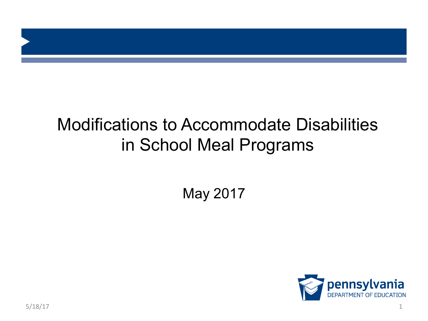

#### Modifications to Accommodate Disabilities in School Meal Programs

May 2017

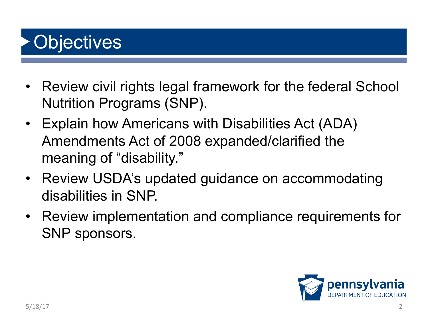# **Objectives**

- Review civil rights legal framework for the federal School Nutrition Programs (SNP).
- Explain how Americans with Disabilities Act (ADA) Amendments Act of 2008 expanded/clarified the meaning of "disability."
- Review USDA's updated guidance on accommodating disabilities in SNP.
- Review implementation and compliance requirements for SNP sponsors.

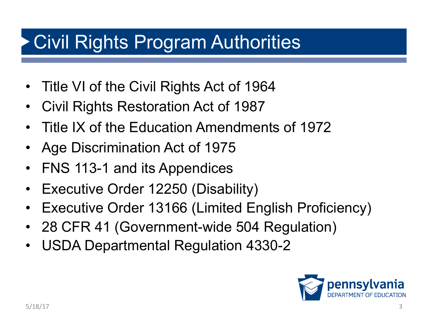## Civil Rights Program Authorities

- Title VI of the Civil Rights Act of 1964
- Civil Rights Restoration Act of 1987
- Title IX of the Education Amendments of 1972
- Age Discrimination Act of 1975
- FNS 113-1 and its Appendices
- Executive Order 12250 (Disability)
- Executive Order 13166 (Limited English Proficiency)
- 28 CFR 41 (Government-wide 504 Regulation)
- USDA Departmental Regulation 4330-2

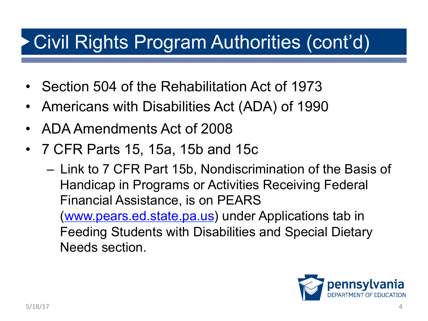# Civil Rights Program Authorities (cont'd)

- Section 504 of the Rehabilitation Act of 1973
- Americans with Disabilities Act (ADA) of 1990
- ADA Amendments Act of 2008
- 7 CFR Parts 15, 15a, 15b and 15c
	- Link to 7 CFR Part 15b, Nondiscrimination of the Basis of Handicap in Programs or Activities Receiving Federal Financial Assistance, is on PEARS (www.pears.ed.state.pa.us) under Applications tab in Feeding Students with Disabilities and Special Dietary Needs section.

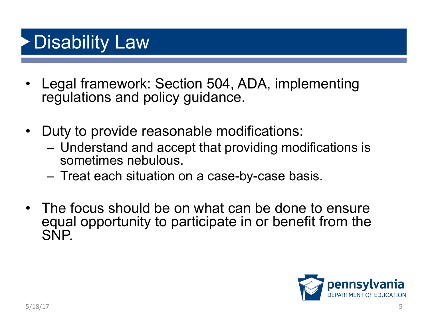## Disability Law

- Legal framework: Section 504, ADA, implementing regulations and policy guidance.
- Duty to provide reasonable modifications:
	- Understand and accept that providing modifications is sometimes nebulous.
	- Treat each situation on a case-by-case basis.
- The focus should be on what can be done to ensure equal opportunity to participate in or benefit from the SNP.

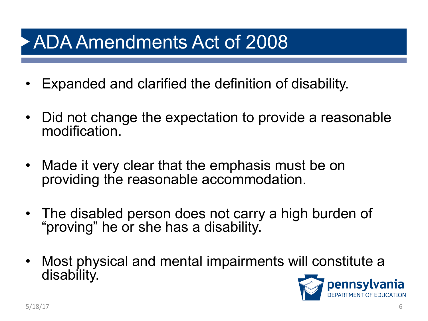#### ADA Amendments Act of 2008

- Expanded and clarified the definition of disability.
- Did not change the expectation to provide a reasonable modification.
- Made it very clear that the emphasis must be on providing the reasonable accommodation.
- The disabled person does not carry a high burden of "proving" he or she has a disability.
- Most physical and mental impairments will constitute a disability.

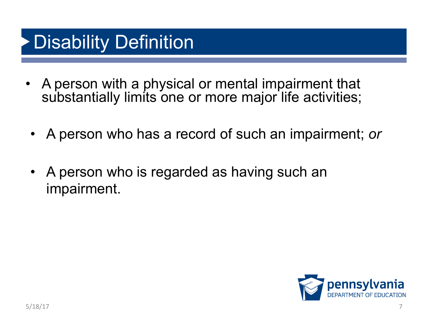#### Disability Definition

- A person with a physical or mental impairment that substantially limits one or more major life activities;
	- A person who has a record of such an impairment; *or*
	- A person who is regarded as having such an impairment.

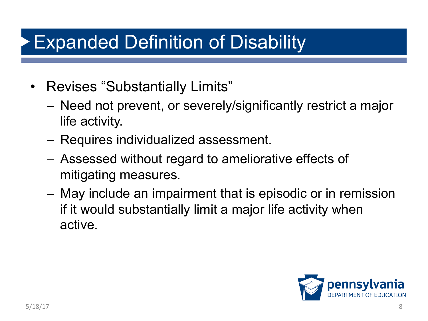## Expanded Definition of Disability

- Revises "Substantially Limits"
	- Need not prevent, or severely/significantly restrict a major life activity.
	- Requires individualized assessment.
	- Assessed without regard to ameliorative effects of mitigating measures.
	- May include an impairment that is episodic or in remission if it would substantially limit a major life activity when active.

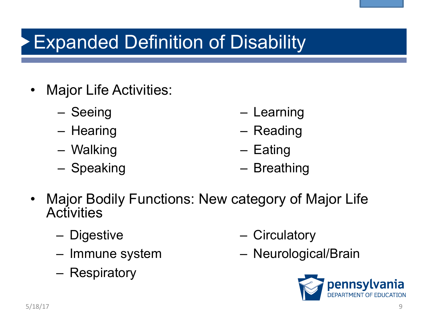# Expanded Definition of Disability

- Major Life Activities:
	- Seeing
	- Hearing
	- Walking
	- Speaking
- Learning
- Reading
- Eating
- Breathing
- Major Bodily Functions: New category of Major Life **Activities** 
	- Digestive
	- Immune system
	- Respiratory
- Circulatory
- Neurological/Brain

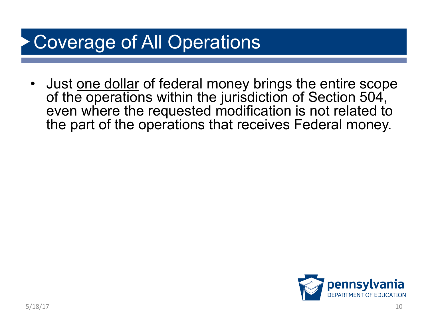# Coverage of All Operations

• Just one dollar of federal money brings the entire scope of the operations within the jurisdiction of Section 504, even where the requested modification is not related to the part of the operations that receives Federal money.

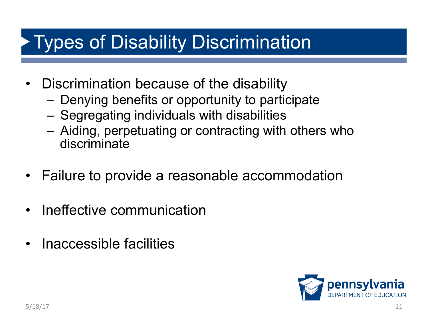#### Types of Disability Discrimination

- Discrimination because of the disability
	- Denying benefits or opportunity to participate
	- Segregating individuals with disabilities
	- Aiding, perpetuating or contracting with others who discriminate
- Failure to provide a reasonable accommodation
- Ineffective communication
- Inaccessible facilities

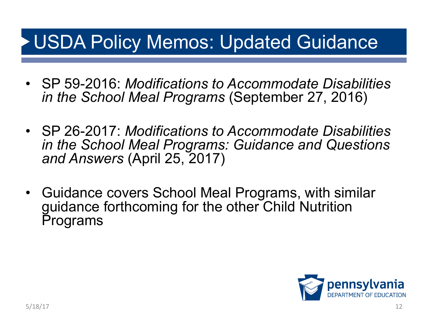#### USDA Policy Memos: Updated Guidance

- SP 59-2016: *Modifications to Accommodate Disabilities in the School Meal Programs* (September 27, 2016)
- SP 26-2017: *Modifications to Accommodate Disabilities in the School Meal Programs: Guidance and Questions and Answers* (April 25, 2017)
- Guidance covers School Meal Programs, with similar guidance forthcoming for the other Child Nutrition Programs

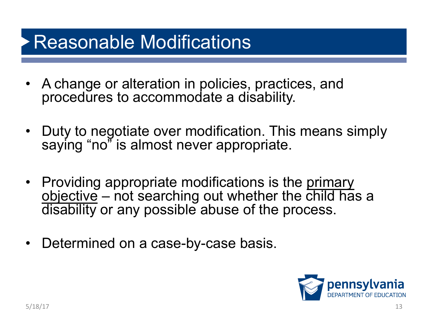## Reasonable Modifications

- A change or alteration in policies, practices, and procedures to accommodate a disability.
- Duty to negotiate over modification. This means simply saying "no" is almost never appropriate.
- Providing appropriate modifications is the primary  $objective$  – not searching out whether the child has a disability or any possible abuse of the process.
- Determined on a case-by-case basis.

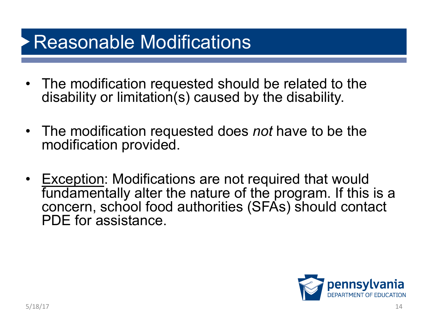#### Reasonable Modifications

- The modification requested should be related to the disability or limitation(s) caused by the disability.
- The modification requested does *not* have to be the modification provided.
- Exception: Modifications are not required that would fundamentally alter the nature of the program. If this is a concern, school food authorities (SFAs) should contact PDE for assistance.

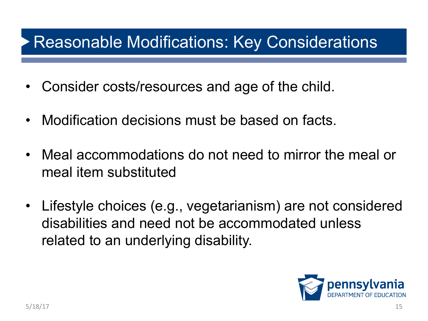#### Reasonable Modifications: Key Considerations

- Consider costs/resources and age of the child.
- Modification decisions must be based on facts.
- Meal accommodations do not need to mirror the meal or meal item substituted
- Lifestyle choices (e.g., vegetarianism) are not considered disabilities and need not be accommodated unless related to an underlying disability.

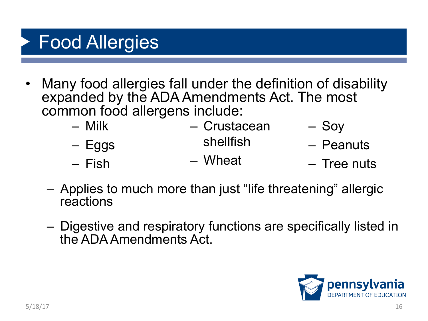# Food Allergies

• Many food allergies fall under the definition of disability expanded by the ADA Amendments Act. The most common food allergens include:

| — Milk   | - Crustacean | $-$ Soy     |
|----------|--------------|-------------|
| $-$ Eggs | shellfish    | - Peanuts   |
| – Fish   | - Wheat      | - Tree nuts |

- Applies to much more than just "life threatening" allergic reactions
- Digestive and respiratory functions are specifically listed in the ADA Amendments Act.

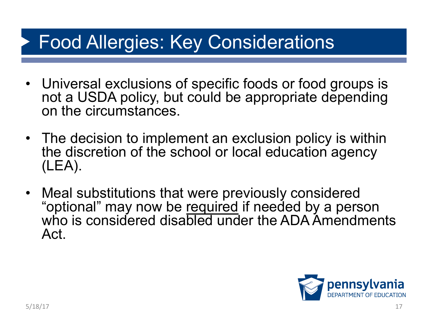#### Food Allergies: Key Considerations

- Universal exclusions of specific foods or food groups is not a USDA policy, but could be appropriate depending on the circumstances.
- The decision to implement an exclusion policy is within the discretion of the school or local education agency (LEA).
- Meal substitutions that were previously considered "optional" may now be required if needed by a person who is considered disabled under the ADA Amendments Act.

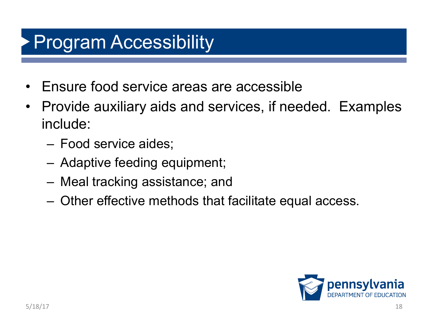## Program Accessibility

- Ensure food service areas are accessible
- Provide auxiliary aids and services, if needed. Examples include:
	- Food service aides;
	- Adaptive feeding equipment;
	- Meal tracking assistance; and
	- Other effective methods that facilitate equal access.

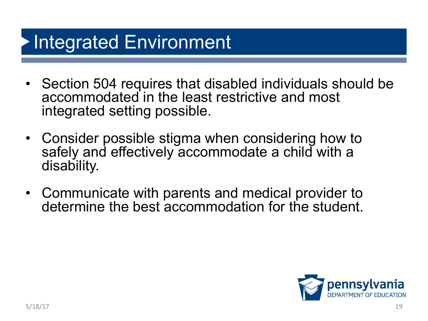# Integrated Environment

- Section 504 requires that disabled individuals should be accommodated in the least restrictive and most integrated setting possible.
- Consider possible stigma when considering how to safely and effectively accommodate a child with a disability.
- Communicate with parents and medical provider to determine the best accommodation for the student.

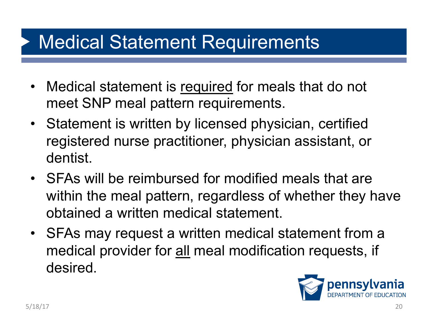#### Medical Statement Requirements

- Medical statement is required for meals that do not meet SNP meal pattern requirements.
- Statement is written by licensed physician, certified registered nurse practitioner, physician assistant, or dentist.
- SFAs will be reimbursed for modified meals that are within the meal pattern, regardless of whether they have obtained a written medical statement.
- SFAs may request a written medical statement from a medical provider for all meal modification requests, if desired.

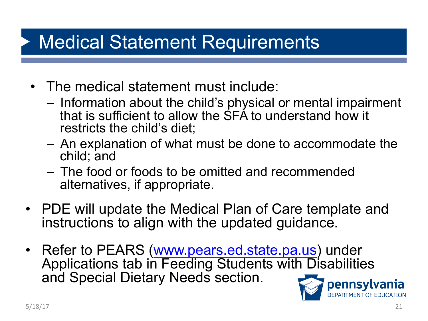## Medical Statement Requirements

- The medical statement must include:
	- Information about the child's physical or mental impairment that is sufficient to allow the SFA to understand how it restricts the child's diet;
	- An explanation of what must be done to accommodate the child; and
	- The food or foods to be omitted and recommended alternatives, if appropriate.
- PDE will update the Medical Plan of Care template and instructions to align with the updated guidance.
- Refer to PEARS (www.pears.ed.state.pa.us) under Applications tab in Feeding Students with Disabilities and Special Dietary Needs section.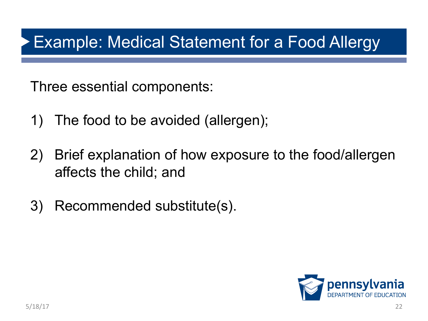#### Example: Medical Statement for a Food Allergy

Three essential components:

- 1) The food to be avoided (allergen);
- 2) Brief explanation of how exposure to the food/allergen affects the child; and
- 3) Recommended substitute(s).

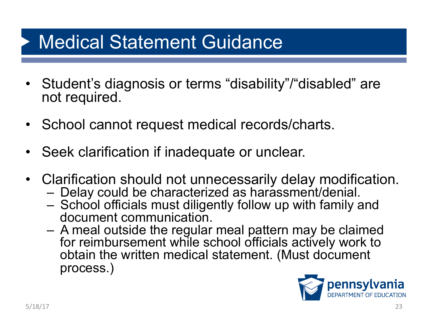#### Medical Statement Guidance

- Student's diagnosis or terms "disability"/"disabled" are not required.
- School cannot request medical records/charts.
- Seek clarification if inadequate or unclear.
- Clarification should not unnecessarily delay modification.<br>- Delay could be characterized as harassment/denial.
	-
	- School officials must diligently follow up with family and<br>document communication.
	- A meal outside the regular meal pattern may be claimed for reimbursement while school officials actively work to obtain the written medical statement. (Must document process.)

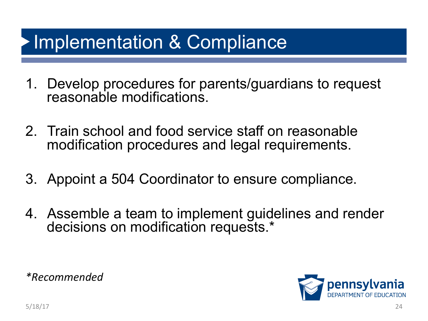#### Implementation & Compliance

- 1. Develop procedures for parents/guardians to request reasonable modifications.
- 2. Train school and food service staff on reasonable modification procedures and legal requirements.
- 3. Appoint a 504 Coordinator to ensure compliance.
- 4. Assemble a team to implement guidelines and render decisions on modification requests.\*

*\*Recommended* 

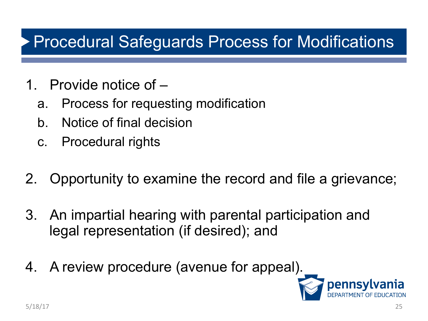#### Procedural Safeguards Process for Modifications

- 1. Provide notice of
	- a. Process for requesting modification
	- b. Notice of final decision
	- c. Procedural rights
- 2. Opportunity to examine the record and file a grievance;
- 3. An impartial hearing with parental participation and legal representation (if desired); and
- 4. A review procedure (avenue for appeal).

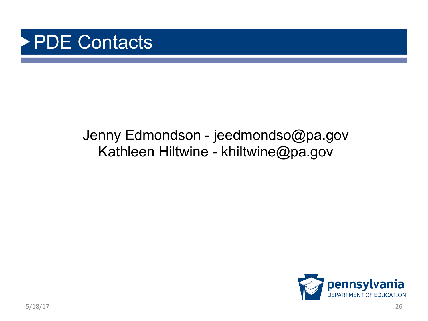

#### Jenny Edmondson - jeedmondso@pa.gov Kathleen Hiltwine - khiltwine@pa.gov

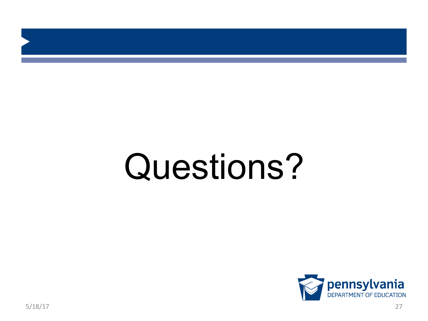# Questions?

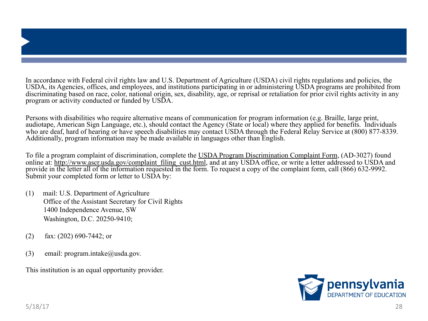In accordance with Federal civil rights law and U.S. Department of Agriculture (USDA) civil rights regulations and policies, the USDA, its Agencies, offices, and employees, and institutions participating in or administering USDA programs are prohibited from discriminating based on race, color, national origin, sex, disability, age, or reprisal or retaliation for prior civil rights activity in any program or activity conducted or funded by USDA.

Persons with disabilities who require alternative means of communication for program information (e.g. Braille, large print, audiotape, American Sign Language, etc.), should contact the Agency (State or local) where they applied for benefits. Individuals who are deaf, hard of hearing or have speech disabilities may contact USDA through the Federal Relay Service at (800) 877-8339. Additionally, program information may be made available in languages other than English.

To file a program complaint of discrimination, complete the USDA Program Discrimination Complaint Form, (AD-3027) found online at: http://www.ascr.usda.gov/complaint\_filing\_cust.html, and at any USDA office, or write a letter addressed to USDA and provide in the letter all of the information requested in the form. To request a copy of the complaint form, call (866) 632-9992. Submit your completed form or letter to USDA by:

- (1) mail: U.S. Department of Agriculture Office of the Assistant Secretary for Civil Rights 1400 Independence Avenue, SW Washington, D.C. 20250-9410;
- (2) fax: (202) 690-7442; or
- (3) email: program.intake $@$ usda.gov.

This institution is an equal opportunity provider.